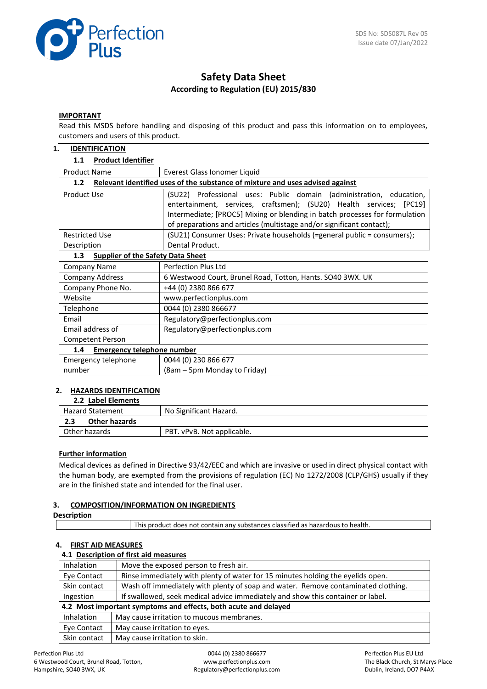

# **Safety Data Sheet According to Regulation (EU) 2015/830**

#### **IMPORTANT**

Read this MSDS before handling and disposing of this product and pass this information on to employees, customers and users of this product.

#### **1. IDENTIFICATION**

### **1.1 Product Identifier**

| <b>Product Name</b><br>Everest Glass Ionomer Liquid                                  |                                                                             |  |  |  |  |
|--------------------------------------------------------------------------------------|-----------------------------------------------------------------------------|--|--|--|--|
| Relevant identified uses of the substance of mixture and uses advised against<br>1.2 |                                                                             |  |  |  |  |
| Product Use                                                                          | (SU22) Professional uses: Public domain (administration, education,         |  |  |  |  |
| entertainment, services, craftsmen); (SU20) Health services; [PC19]                  |                                                                             |  |  |  |  |
|                                                                                      | Intermediate; [PROC5] Mixing or blending in batch processes for formulation |  |  |  |  |
|                                                                                      | of preparations and articles (multistage and/or significant contact);       |  |  |  |  |
| <b>Restricted Use</b>                                                                | (SU21) Consumer Uses: Private households (=general public = consumers);     |  |  |  |  |
| Dental Product.<br>Description                                                       |                                                                             |  |  |  |  |
| <b>Supplier of the Safety Data Sheet</b><br>1.3                                      |                                                                             |  |  |  |  |
| Company Name                                                                         | <b>Perfection Plus Ltd</b>                                                  |  |  |  |  |
| <b>Company Address</b>                                                               | 6 Westwood Court, Brunel Road, Totton, Hants. SO40 3WX. UK                  |  |  |  |  |
| Company Phone No.                                                                    | +44 (0) 2380 866 677                                                        |  |  |  |  |
| Website                                                                              | www.perfectionplus.com                                                      |  |  |  |  |
| Telephone                                                                            | 0044 (0) 2380 866677                                                        |  |  |  |  |
| Email                                                                                | Regulatory@perfectionplus.com                                               |  |  |  |  |
| Email address of                                                                     | Regulatory@perfectionplus.com                                               |  |  |  |  |
| Competent Person                                                                     |                                                                             |  |  |  |  |
| <b>Emergency telephone number</b><br>1.4                                             |                                                                             |  |  |  |  |
| Emergency telephone                                                                  | 0044 (0) 230 866 677                                                        |  |  |  |  |
| number                                                                               | (8am – 5pm Monday to Friday)                                                |  |  |  |  |

#### **2. HAZARDS IDENTIFICATION 2.2 Label Elements**

| <b>2.2 Label Elements</b> |                            |
|---------------------------|----------------------------|
| <b>Hazard Statement</b>   | No Significant Hazard.     |
| Other hazards<br>2.3      |                            |
| Other hazards             | PBT. vPvB. Not applicable. |
|                           |                            |

# **Further information**

Medical devices as defined in Directive 93/42/EEC and which are invasive or used in direct physical contact with the human body, are exempted from the provisions of regulation (EC) No 1272/2008 (CLP/GHS) usually if they are in the finished state and intended for the final user.

# **3. COMPOSITION/INFORMATION ON INGREDIENTS**

| <b>Description</b> |                                                                                 |  |
|--------------------|---------------------------------------------------------------------------------|--|
|                    | This product does not contain any substances classified as hazardous to health. |  |

# **4. FIRST AID MEASURES**

# **4.1 Description of first aid measures**

| Inhalation                                                                                     | Move the exposed person to fresh air.                                             |  |  |
|------------------------------------------------------------------------------------------------|-----------------------------------------------------------------------------------|--|--|
| Rinse immediately with plenty of water for 15 minutes holding the eyelids open.<br>Eye Contact |                                                                                   |  |  |
| Skin contact                                                                                   | Wash off immediately with plenty of soap and water. Remove contaminated clothing. |  |  |
| Ingestion                                                                                      | If swallowed, seek medical advice immediately and show this container or label.   |  |  |
| 4.2 Most important symptoms and effects, both acute and delayed                                |                                                                                   |  |  |
| <b>Inhalation</b>                                                                              | May cause irritation to mucous membranes.                                         |  |  |
| Eye Contact                                                                                    | May cause irritation to eyes.                                                     |  |  |
| Skin contact                                                                                   | May cause irritation to skin.                                                     |  |  |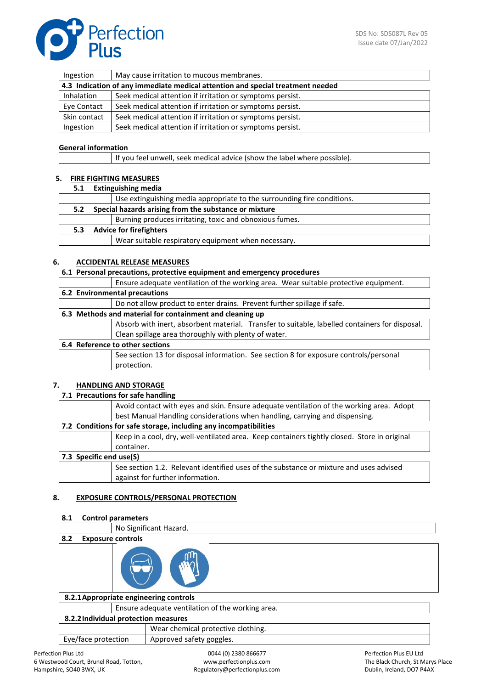

| Ingestion                                                                      | May cause irritation to mucous membranes.                 |  |  |
|--------------------------------------------------------------------------------|-----------------------------------------------------------|--|--|
| 4.3 Indication of any immediate medical attention and special treatment needed |                                                           |  |  |
| Inhalation                                                                     | Seek medical attention if irritation or symptoms persist. |  |  |
| Eye Contact                                                                    | Seek medical attention if irritation or symptoms persist. |  |  |
| Skin contact                                                                   | Seek medical attention if irritation or symptoms persist. |  |  |
| Ingestion                                                                      | Seek medical attention if irritation or symptoms persist. |  |  |

# **General information**

If you feel unwell, seek medical advice (show the label where possible).

# **5. FIRE FIGHTING MEASURES**

**5.1 Extinguishing media**

|               |                                                       | Use extinguishing media appropriate to the surrounding fire conditions. |  |
|---------------|-------------------------------------------------------|-------------------------------------------------------------------------|--|
| $5.2^{\circ}$ | Special hazards arising from the substance or mixture |                                                                         |  |
|               |                                                       | Burning produces irritating, toxic and obnoxious fumes.                 |  |
| 5.3           | <b>Advice for firefighters</b>                        |                                                                         |  |
|               |                                                       | Wear suitable respiratory equipment when necessary.                     |  |

### **6. ACCIDENTAL RELEASE MEASURES**

**6.1 Personal precautions, protective equipment and emergency procedures**

| Ensure adequate ventilation of the working area. Wear suitable protective equipment.           |  |  |  |
|------------------------------------------------------------------------------------------------|--|--|--|
| 6.2 Environmental precautions                                                                  |  |  |  |
| Do not allow product to enter drains. Prevent further spillage if safe.                        |  |  |  |
| 6.3 Methods and material for containment and cleaning up                                       |  |  |  |
| Absorb with inert, absorbent material. Transfer to suitable, labelled containers for disposal. |  |  |  |
| Clean spillage area thoroughly with plenty of water.                                           |  |  |  |
| 6.4 Reference to other sections                                                                |  |  |  |
| See section 13 for disposal information. See section 8 for exposure controls/personal          |  |  |  |
| protection.                                                                                    |  |  |  |
|                                                                                                |  |  |  |

# **7. HANDLING AND STORAGE**

#### **7.1 Precautions for safe handling**

|                                                                  | Avoid contact with eyes and skin. Ensure adequate ventilation of the working area. Adopt     |  |  |
|------------------------------------------------------------------|----------------------------------------------------------------------------------------------|--|--|
|                                                                  | best Manual Handling considerations when handling, carrying and dispensing.                  |  |  |
| 7.2 Conditions for safe storage, including any incompatibilities |                                                                                              |  |  |
|                                                                  | Keep in a cool, dry, well-ventilated area. Keep containers tightly closed. Store in original |  |  |
|                                                                  | container.                                                                                   |  |  |
| 7.3 Specific end use(S)                                          |                                                                                              |  |  |
|                                                                  | See section 1.2. Relevant identified uses of the substance or mixture and uses advised       |  |  |
|                                                                  | against for further information.                                                             |  |  |

#### **8. EXPOSURE CONTROLS/PERSONAL PROTECTION**

| 8.1 |                          | <b>Control parameters</b>                        |  |  |
|-----|--------------------------|--------------------------------------------------|--|--|
|     |                          | No Significant Hazard.                           |  |  |
| 8.2 | <b>Exposure controls</b> |                                                  |  |  |
|     |                          |                                                  |  |  |
|     |                          | 8.2.1 Appropriate engineering controls           |  |  |
|     |                          | Ensure adequate ventilation of the working area. |  |  |
|     |                          | 8.2.2 Individual protection measures             |  |  |
|     |                          | Wear chamical protective clathing                |  |  |

|                     | Wear chemical protective clothing. |
|---------------------|------------------------------------|
| Eye/face protection | Approved safety goggles.           |
|                     |                                    |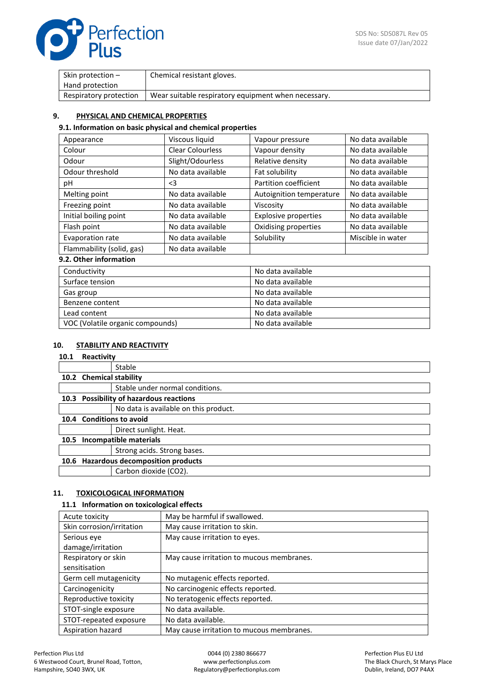

| Skin protection $-$    | Chemical resistant gloves.                          |
|------------------------|-----------------------------------------------------|
| Hand protection        |                                                     |
| Respiratory protection | Wear suitable respiratory equipment when necessary. |

# **9. PHYSICAL AND CHEMICAL PROPERTIES**

#### **9.1. Information on basic physical and chemical properties**

| Appearance                | Viscous liquid          | Vapour pressure             | No data available |
|---------------------------|-------------------------|-----------------------------|-------------------|
| Colour                    | <b>Clear Colourless</b> | Vapour density              | No data available |
| Odour                     | Slight/Odourless        | Relative density            | No data available |
| Odour threshold           | No data available       | Fat solubility              | No data available |
| рH                        | $\leq$ 3                | Partition coefficient       | No data available |
| Melting point             | No data available       | Autoignition temperature    | No data available |
| Freezing point            | No data available       | Viscosity                   | No data available |
| Initial boiling point     | No data available       | <b>Explosive properties</b> | No data available |
| Flash point               | No data available       | Oxidising properties        | No data available |
| Evaporation rate          | No data available       | Solubility                  | Miscible in water |
| Flammability (solid, gas) | No data available       |                             |                   |
| .                         |                         |                             |                   |

# **9.2. Other information**

| Conductivity                     | No data available |
|----------------------------------|-------------------|
| Surface tension                  | No data available |
| Gas group                        | No data available |
| Benzene content                  | No data available |
| Lead content                     | No data available |
| VOC (Volatile organic compounds) | No data available |

# **10. STABILITY AND REACTIVITY**

| 10.1              | Reactivity              |                                           |
|-------------------|-------------------------|-------------------------------------------|
|                   |                         | Stable                                    |
|                   | 10.2 Chemical stability |                                           |
|                   |                         | Stable under normal conditions.           |
| 10.3 <sub>1</sub> |                         | <b>Possibility of hazardous reactions</b> |
|                   |                         | No data is available on this product.     |
| 10.4              |                         | <b>Conditions to avoid</b>                |
|                   |                         | Direct sunlight. Heat.                    |
| 10.5              |                         | Incompatible materials                    |
|                   |                         | Strong acids. Strong bases.               |
| 10.6              |                         | <b>Hazardous decomposition products</b>   |
|                   |                         | Carbon dioxide (CO2).                     |
|                   |                         |                                           |

# **11. TOXICOLOGICAL INFORMATION**

#### **11.1 Information on toxicological effects**

| Acute toxicity            | May be harmful if swallowed.              |
|---------------------------|-------------------------------------------|
| Skin corrosion/irritation | May cause irritation to skin.             |
| Serious eye               | May cause irritation to eyes.             |
| damage/irritation         |                                           |
| Respiratory or skin       | May cause irritation to mucous membranes. |
| sensitisation             |                                           |
| Germ cell mutagenicity    | No mutagenic effects reported.            |
| Carcinogenicity           | No carcinogenic effects reported.         |
| Reproductive toxicity     | No teratogenic effects reported.          |
| STOT-single exposure      | No data available.                        |
| STOT-repeated exposure    | No data available.                        |
| Aspiration hazard         | May cause irritation to mucous membranes. |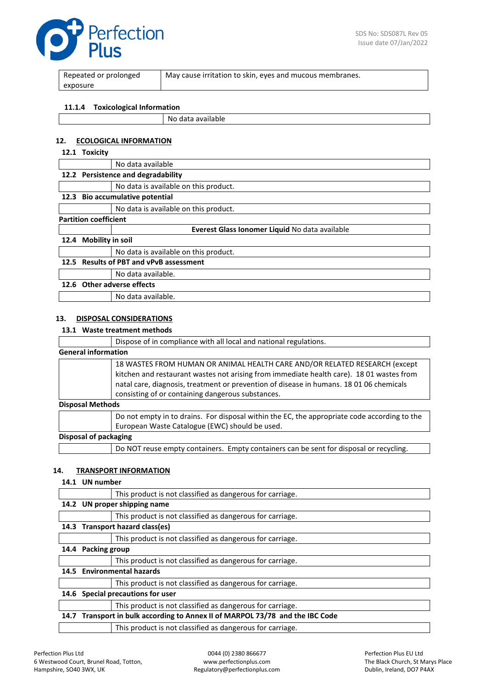

| Repeated or prolonged | May cause irritation to skin, eyes and mucous membranes. |
|-----------------------|----------------------------------------------------------|
| exposure              |                                                          |
|                       |                                                          |

#### **11.1.4 Toxicological Information**

|  | No data available |
|--|-------------------|
|--|-------------------|

# **12. ECOLOGICAL INFORMATION**

# **12.1 Toxicity**

|                              |                                           | No data available                              |
|------------------------------|-------------------------------------------|------------------------------------------------|
|                              | 12.2 Persistence and degradability        |                                                |
|                              |                                           | No data is available on this product.          |
| 12.3                         |                                           | Bio accumulative potential                     |
|                              |                                           | No data is available on this product.          |
| <b>Partition coefficient</b> |                                           |                                                |
|                              |                                           | Everest Glass Ionomer Liquid No data available |
| 12.4                         | <b>Mobility in soil</b>                   |                                                |
|                              |                                           | No data is available on this product.          |
| 12.5                         | <b>Results of PBT and vPvB assessment</b> |                                                |
|                              |                                           | No data available.                             |
|                              |                                           | 12.6 Other adverse effects                     |
|                              |                                           | No data available.                             |
|                              |                                           |                                                |

# **13. DISPOSAL CONSIDERATIONS**

#### **13.1 Waste treatment methods**

|                            | Dispose of in compliance with all local and national regulations.                                                                                                                                                                                                                                                      |
|----------------------------|------------------------------------------------------------------------------------------------------------------------------------------------------------------------------------------------------------------------------------------------------------------------------------------------------------------------|
| <b>General information</b> |                                                                                                                                                                                                                                                                                                                        |
|                            | 18 WASTES FROM HUMAN OR ANIMAL HEALTH CARE AND/OR RELATED RESEARCH (except<br>kitchen and restaurant wastes not arising from immediate health care). 18 01 wastes from<br>natal care, diagnosis, treatment or prevention of disease in humans. 18 01 06 chemicals<br>consisting of or containing dangerous substances. |
| <b>Disposal Methods</b>    |                                                                                                                                                                                                                                                                                                                        |
|                            | Do not empty in to drains. For disposal within the EC, the appropriate code according to the<br>European Waste Catalogue (EWC) should be used.                                                                                                                                                                         |
| Disposal of packaging      |                                                                                                                                                                                                                                                                                                                        |
|                            | Do NOT reuse empty containers. Empty containers can be sent for disposal or recycling.                                                                                                                                                                                                                                 |

#### **14. TRANSPORT INFORMATION**

#### **14.1 UN number**

|      |                                                                               | This product is not classified as dangerous for carriage. |
|------|-------------------------------------------------------------------------------|-----------------------------------------------------------|
|      | 14.2 UN proper shipping name                                                  |                                                           |
|      |                                                                               | This product is not classified as dangerous for carriage. |
|      |                                                                               | 14.3 Transport hazard class(es)                           |
|      |                                                                               | This product is not classified as dangerous for carriage. |
| 14.4 | <b>Packing group</b>                                                          |                                                           |
|      |                                                                               | This product is not classified as dangerous for carriage. |
| 14.5 |                                                                               | <b>Environmental hazards</b>                              |
|      |                                                                               | This product is not classified as dangerous for carriage. |
| 14.6 | Special precautions for user                                                  |                                                           |
|      |                                                                               | This product is not classified as dangerous for carriage. |
|      | 14.7 Transport in bulk according to Annex II of MARPOL 73/78 and the IBC Code |                                                           |
|      |                                                                               | This product is not classified as dangerous for carriage. |